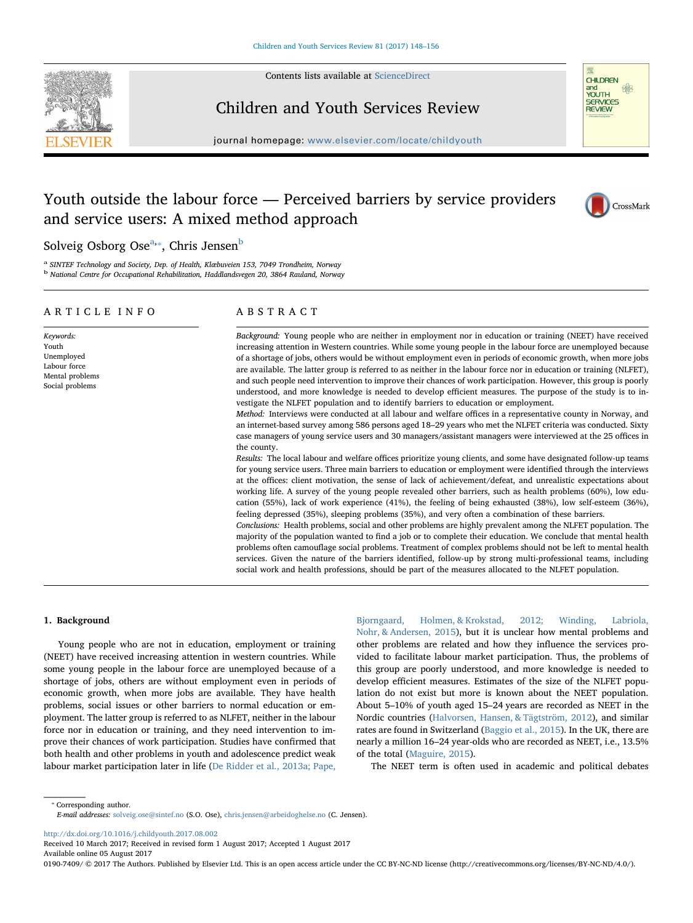

Contents lists available at [ScienceDirect](http://www.sciencedirect.com/science/journal/01907409)

## Children and Youth Services Review

journal homepage: [www.elsevier.com/locate/childyouth](http://www.elsevier.com/locate/childyouth)



8

**CHILDREN**  $and$ 

# Youth outside the labour force — Perceived barriers by service providers and service users: A mixed method approach



## Solveig Osborg Ose<sup>[a,](#page-0-0)</sup>\*, Chris Jensen<sup>[b](#page-0-2)</sup>

<span id="page-0-2"></span><span id="page-0-0"></span><sup>a</sup> SINTEF Technology and Society, Dep. of Health, Klæbuveien 153, 7049 Trondheim, Norway <sup>b</sup> National Centre for Occupational Rehabilitation, Haddlandsvegen 20, 3864 Rauland, Norway

## ARTICLE INFO

Keywords: Youth Unemployed Labour force Mental problems

Social problems

ABSTRACT

Background: Young people who are neither in employment nor in education or training (NEET) have received increasing attention in Western countries. While some young people in the labour force are unemployed because of a shortage of jobs, others would be without employment even in periods of economic growth, when more jobs are available. The latter group is referred to as neither in the labour force nor in education or training (NLFET), and such people need intervention to improve their chances of work participation. However, this group is poorly understood, and more knowledge is needed to develop efficient measures. The purpose of the study is to investigate the NLFET population and to identify barriers to education or employment.

Method: Interviews were conducted at all labour and welfare offices in a representative county in Norway, and an internet-based survey among 586 persons aged 18–29 years who met the NLFET criteria was conducted. Sixty case managers of young service users and 30 managers/assistant managers were interviewed at the 25 offices in the county.

Results: The local labour and welfare offices prioritize young clients, and some have designated follow-up teams for young service users. Three main barriers to education or employment were identified through the interviews at the offices: client motivation, the sense of lack of achievement/defeat, and unrealistic expectations about working life. A survey of the young people revealed other barriers, such as health problems (60%), low education (55%), lack of work experience (41%), the feeling of being exhausted (38%), low self-esteem (36%), feeling depressed (35%), sleeping problems (35%), and very often a combination of these barriers.

Conclusions: Health problems, social and other problems are highly prevalent among the NLFET population. The majority of the population wanted to find a job or to complete their education. We conclude that mental health problems often camouflage social problems. Treatment of complex problems should not be left to mental health services. Given the nature of the barriers identified, follow-up by strong multi-professional teams, including social work and health professions, should be part of the measures allocated to the NLFET population.

#### 1. Background

Young people who are not in education, employment or training (NEET) have received increasing attention in western countries. While some young people in the labour force are unemployed because of a shortage of jobs, others are without employment even in periods of economic growth, when more jobs are available. They have health problems, social issues or other barriers to normal education or employment. The latter group is referred to as NLFET, neither in the labour force nor in education or training, and they need intervention to improve their chances of work participation. Studies have confirmed that both health and other problems in youth and adolescence predict weak labour market participation later in life ([De Ridder et al., 2013a; Pape,](#page-8-0)

[Bjorngaard, Holmen, & Krokstad, 2012; Winding, Labriola,](#page-8-0) [Nohr, & Andersen, 2015\)](#page-8-0), but it is unclear how mental problems and other problems are related and how they influence the services provided to facilitate labour market participation. Thus, the problems of this group are poorly understood, and more knowledge is needed to develop efficient measures. Estimates of the size of the NLFET population do not exist but more is known about the NEET population. About 5–10% of youth aged 15–24 years are recorded as NEET in the Nordic countries ([Halvorsen, Hansen, & Tägtström, 2012\)](#page-8-1), and similar rates are found in Switzerland ([Baggio et al., 2015\)](#page-8-2). In the UK, there are nearly a million 16–24 year-olds who are recorded as NEET, i.e., 13.5% of the total ([Maguire, 2015\)](#page-8-3).

The NEET term is often used in academic and political debates

<span id="page-0-1"></span>⁎ Corresponding author.

E-mail addresses: [solveig.ose@sintef.no](mailto:solveig.ose@sintef.no) (S.O. Ose), [chris.jensen@arbeidoghelse.no](mailto:chris.jensen@arbeidoghelse.no) (C. Jensen).

<http://dx.doi.org/10.1016/j.childyouth.2017.08.002>

Received 10 March 2017; Received in revised form 1 August 2017; Accepted 1 August 2017 Available online 05 August 2017

0190-7409/ © 2017 The Authors. Published by Elsevier Ltd. This is an open access article under the CC BY-NC-ND license (http://creativecommons.org/licenses/BY-NC-ND/4.0/).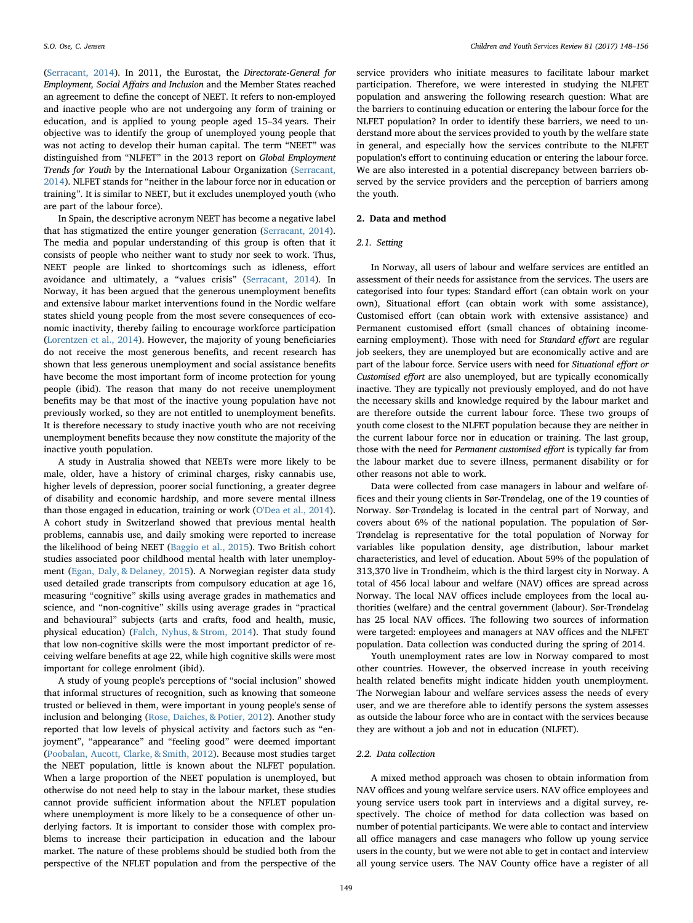([Serracant, 2014](#page-8-4)). In 2011, the Eurostat, the Directorate-General for Employment, Social Affairs and Inclusion and the Member States reached an agreement to define the concept of NEET. It refers to non-employed and inactive people who are not undergoing any form of training or education, and is applied to young people aged 15–34 years. Their objective was to identify the group of unemployed young people that was not acting to develop their human capital. The term "NEET" was distinguished from "NLFET" in the 2013 report on Global Employment Trends for Youth by the International Labour Organization [\(Serracant,](#page-8-4) [2014\)](#page-8-4). NLFET stands for "neither in the labour force nor in education or training". It is similar to NEET, but it excludes unemployed youth (who are part of the labour force).

In Spain, the descriptive acronym NEET has become a negative label that has stigmatized the entire younger generation ([Serracant, 2014](#page-8-4)). The media and popular understanding of this group is often that it consists of people who neither want to study nor seek to work. Thus, NEET people are linked to shortcomings such as idleness, effort avoidance and ultimately, a "values crisis" ([Serracant, 2014\)](#page-8-4). In Norway, it has been argued that the generous unemployment benefits and extensive labour market interventions found in the Nordic welfare states shield young people from the most severe consequences of economic inactivity, thereby failing to encourage workforce participation ([Lorentzen et al., 2014\)](#page-8-5). However, the majority of young beneficiaries do not receive the most generous benefits, and recent research has shown that less generous unemployment and social assistance benefits have become the most important form of income protection for young people (ibid). The reason that many do not receive unemployment benefits may be that most of the inactive young population have not previously worked, so they are not entitled to unemployment benefits. It is therefore necessary to study inactive youth who are not receiving unemployment benefits because they now constitute the majority of the inactive youth population.

A study in Australia showed that NEETs were more likely to be male, older, have a history of criminal charges, risky cannabis use, higher levels of depression, poorer social functioning, a greater degree of disability and economic hardship, and more severe mental illness than those engaged in education, training or work [\(O'Dea et al., 2014](#page-8-6)). A cohort study in Switzerland showed that previous mental health problems, cannabis use, and daily smoking were reported to increase the likelihood of being NEET ([Baggio et al., 2015](#page-8-2)). Two British cohort studies associated poor childhood mental health with later unemployment ([Egan, Daly, & Delaney, 2015](#page-8-7)). A Norwegian register data study used detailed grade transcripts from compulsory education at age 16, measuring "cognitive" skills using average grades in mathematics and science, and "non-cognitive" skills using average grades in "practical and behavioural" subjects (arts and crafts, food and health, music, physical education) [\(Falch, Nyhus, & Strom, 2014](#page-8-8)). That study found that low non-cognitive skills were the most important predictor of receiving welfare benefits at age 22, while high cognitive skills were most important for college enrolment (ibid).

A study of young people's perceptions of "social inclusion" showed that informal structures of recognition, such as knowing that someone trusted or believed in them, were important in young people's sense of inclusion and belonging ([Rose, Daiches, & Potier, 2012\)](#page-8-9). Another study reported that low levels of physical activity and factors such as "enjoyment", "appearance" and "feeling good" were deemed important ([Poobalan, Aucott, Clarke, & Smith, 2012](#page-8-10)). Because most studies target the NEET population, little is known about the NLFET population. When a large proportion of the NEET population is unemployed, but otherwise do not need help to stay in the labour market, these studies cannot provide sufficient information about the NFLET population where unemployment is more likely to be a consequence of other underlying factors. It is important to consider those with complex problems to increase their participation in education and the labour market. The nature of these problems should be studied both from the perspective of the NFLET population and from the perspective of the service providers who initiate measures to facilitate labour market participation. Therefore, we were interested in studying the NLFET population and answering the following research question: What are the barriers to continuing education or entering the labour force for the NLFET population? In order to identify these barriers, we need to understand more about the services provided to youth by the welfare state in general, and especially how the services contribute to the NLFET population's effort to continuing education or entering the labour force. We are also interested in a potential discrepancy between barriers observed by the service providers and the perception of barriers among the youth.

## 2. Data and method

## 2.1. Setting

In Norway, all users of labour and welfare services are entitled an assessment of their needs for assistance from the services. The users are categorised into four types: Standard effort (can obtain work on your own), Situational effort (can obtain work with some assistance), Customised effort (can obtain work with extensive assistance) and Permanent customised effort (small chances of obtaining incomeearning employment). Those with need for Standard effort are regular job seekers, they are unemployed but are economically active and are part of the labour force. Service users with need for Situational effort or Customised effort are also unemployed, but are typically economically inactive. They are typically not previously employed, and do not have the necessary skills and knowledge required by the labour market and are therefore outside the current labour force. These two groups of youth come closest to the NLFET population because they are neither in the current labour force nor in education or training. The last group, those with the need for Permanent customised effort is typically far from the labour market due to severe illness, permanent disability or for other reasons not able to work.

Data were collected from case managers in labour and welfare offices and their young clients in Sør-Trøndelag, one of the 19 counties of Norway. Sør-Trøndelag is located in the central part of Norway, and covers about 6% of the national population. The population of Sør-Trøndelag is representative for the total population of Norway for variables like population density, age distribution, labour market characteristics, and level of education. About 59% of the population of 313,370 live in Trondheim, which is the third largest city in Norway. A total of 456 local labour and welfare (NAV) offices are spread across Norway. The local NAV offices include employees from the local authorities (welfare) and the central government (labour). Sør-Trøndelag has 25 local NAV offices. The following two sources of information were targeted: employees and managers at NAV offices and the NLFET population. Data collection was conducted during the spring of 2014.

Youth unemployment rates are low in Norway compared to most other countries. However, the observed increase in youth receiving health related benefits might indicate hidden youth unemployment. The Norwegian labour and welfare services assess the needs of every user, and we are therefore able to identify persons the system assesses as outside the labour force who are in contact with the services because they are without a job and not in education (NLFET).

## 2.2. Data collection

A mixed method approach was chosen to obtain information from NAV offices and young welfare service users. NAV office employees and young service users took part in interviews and a digital survey, respectively. The choice of method for data collection was based on number of potential participants. We were able to contact and interview all office managers and case managers who follow up young service users in the county, but we were not able to get in contact and interview all young service users. The NAV County office have a register of all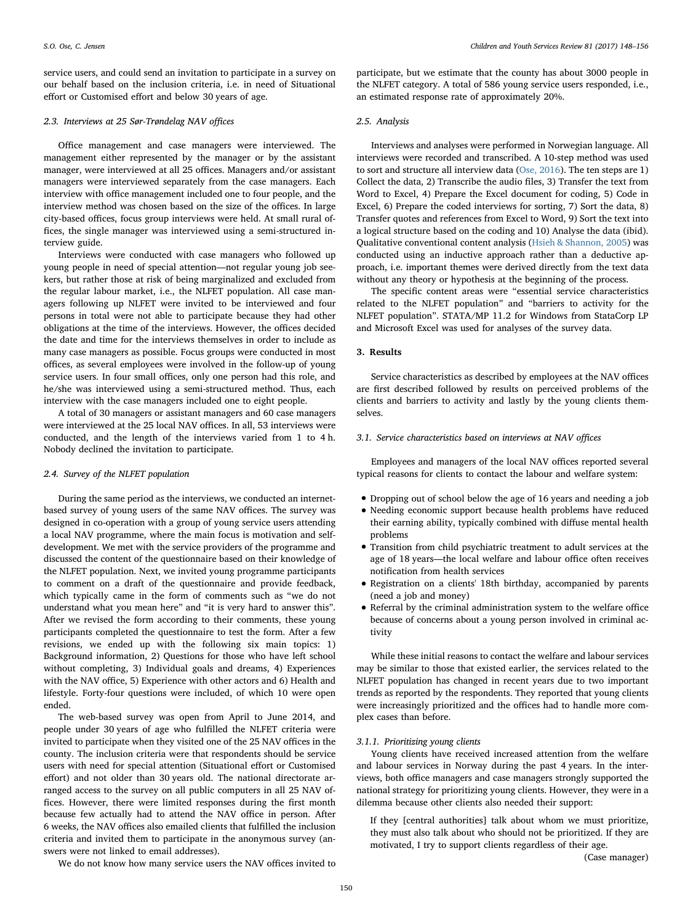service users, and could send an invitation to participate in a survey on our behalf based on the inclusion criteria, i.e. in need of Situational effort or Customised effort and below 30 years of age.

#### 2.3. Interviews at 25 Sør-Trøndelag NAV offices

Office management and case managers were interviewed. The management either represented by the manager or by the assistant manager, were interviewed at all 25 offices. Managers and/or assistant managers were interviewed separately from the case managers. Each interview with office management included one to four people, and the interview method was chosen based on the size of the offices. In large city-based offices, focus group interviews were held. At small rural offices, the single manager was interviewed using a semi-structured interview guide.

Interviews were conducted with case managers who followed up young people in need of special attention—not regular young job seekers, but rather those at risk of being marginalized and excluded from the regular labour market, i.e., the NLFET population. All case managers following up NLFET were invited to be interviewed and four persons in total were not able to participate because they had other obligations at the time of the interviews. However, the offices decided the date and time for the interviews themselves in order to include as many case managers as possible. Focus groups were conducted in most offices, as several employees were involved in the follow-up of young service users. In four small offices, only one person had this role, and he/she was interviewed using a semi-structured method. Thus, each interview with the case managers included one to eight people.

A total of 30 managers or assistant managers and 60 case managers were interviewed at the 25 local NAV offices. In all, 53 interviews were conducted, and the length of the interviews varied from 1 to 4 h. Nobody declined the invitation to participate.

## 2.4. Survey of the NLFET population

During the same period as the interviews, we conducted an internetbased survey of young users of the same NAV offices. The survey was designed in co-operation with a group of young service users attending a local NAV programme, where the main focus is motivation and selfdevelopment. We met with the service providers of the programme and discussed the content of the questionnaire based on their knowledge of the NLFET population. Next, we invited young programme participants to comment on a draft of the questionnaire and provide feedback, which typically came in the form of comments such as "we do not understand what you mean here" and "it is very hard to answer this". After we revised the form according to their comments, these young participants completed the questionnaire to test the form. After a few revisions, we ended up with the following six main topics: 1) Background information, 2) Questions for those who have left school without completing, 3) Individual goals and dreams, 4) Experiences with the NAV office, 5) Experience with other actors and 6) Health and lifestyle. Forty-four questions were included, of which 10 were open ended.

The web-based survey was open from April to June 2014, and people under 30 years of age who fulfilled the NLFET criteria were invited to participate when they visited one of the 25 NAV offices in the county. The inclusion criteria were that respondents should be service users with need for special attention (Situational effort or Customised effort) and not older than 30 years old. The national directorate arranged access to the survey on all public computers in all 25 NAV offices. However, there were limited responses during the first month because few actually had to attend the NAV office in person. After 6 weeks, the NAV offices also emailed clients that fulfilled the inclusion criteria and invited them to participate in the anonymous survey (answers were not linked to email addresses).

participate, but we estimate that the county has about 3000 people in the NLFET category. A total of 586 young service users responded, i.e., an estimated response rate of approximately 20%.

#### 2.5. Analysis

Interviews and analyses were performed in Norwegian language. All interviews were recorded and transcribed. A 10-step method was used to sort and structure all interview data ([Ose, 2016\)](#page-8-11). The ten steps are 1) Collect the data, 2) Transcribe the audio files, 3) Transfer the text from Word to Excel, 4) Prepare the Excel document for coding, 5) Code in Excel, 6) Prepare the coded interviews for sorting, 7) Sort the data, 8) Transfer quotes and references from Excel to Word, 9) Sort the text into a logical structure based on the coding and 10) Analyse the data (ibid). Qualitative conventional content analysis [\(Hsieh & Shannon, 2005](#page-8-12)) was conducted using an inductive approach rather than a deductive approach, i.e. important themes were derived directly from the text data without any theory or hypothesis at the beginning of the process.

The specific content areas were "essential service characteristics related to the NLFET population" and "barriers to activity for the NLFET population". STATA/MP 11.2 for Windows from StataCorp LP and Microsoft Excel was used for analyses of the survey data.

## 3. Results

Service characteristics as described by employees at the NAV offices are first described followed by results on perceived problems of the clients and barriers to activity and lastly by the young clients themselves.

## 3.1. Service characteristics based on interviews at NAV offices

Employees and managers of the local NAV offices reported several typical reasons for clients to contact the labour and welfare system:

- Dropping out of school below the age of 16 years and needing a job
- Needing economic support because health problems have reduced their earning ability, typically combined with diffuse mental health problems
- Transition from child psychiatric treatment to adult services at the age of 18 years—the local welfare and labour office often receives notification from health services
- Registration on a clients' 18th birthday, accompanied by parents (need a job and money)
- Referral by the criminal administration system to the welfare office because of concerns about a young person involved in criminal activity

While these initial reasons to contact the welfare and labour services may be similar to those that existed earlier, the services related to the NLFET population has changed in recent years due to two important trends as reported by the respondents. They reported that young clients were increasingly prioritized and the offices had to handle more complex cases than before.

## 3.1.1. Prioritizing young clients

Young clients have received increased attention from the welfare and labour services in Norway during the past 4 years. In the interviews, both office managers and case managers strongly supported the national strategy for prioritizing young clients. However, they were in a dilemma because other clients also needed their support:

If they [central authorities] talk about whom we must prioritize, they must also talk about who should not be prioritized. If they are motivated, I try to support clients regardless of their age.

(Case manager)

We do not know how many service users the NAV offices invited to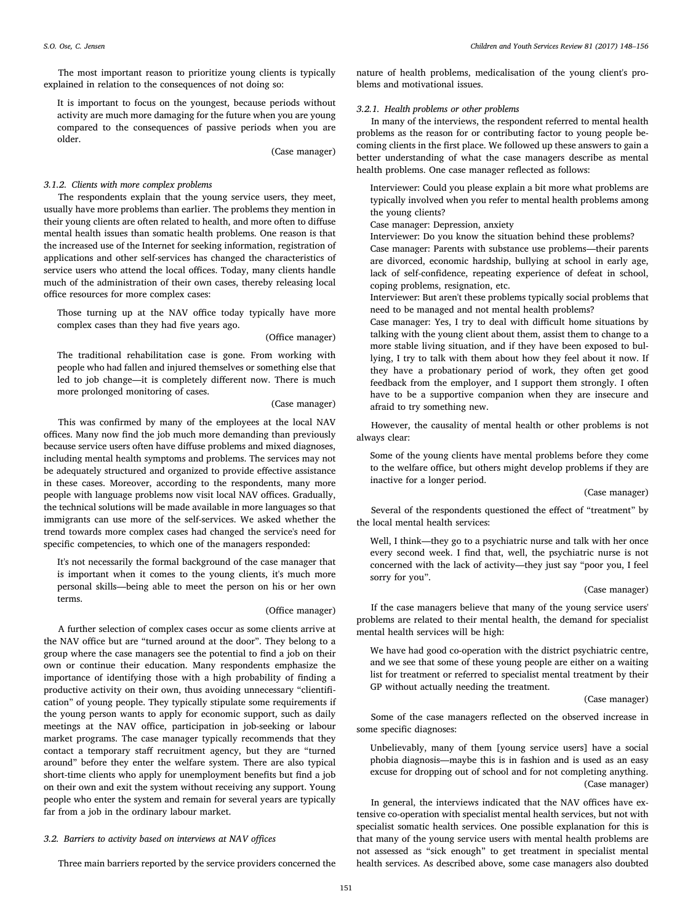The most important reason to prioritize young clients is typically explained in relation to the consequences of not doing so:

It is important to focus on the youngest, because periods without activity are much more damaging for the future when you are young compared to the consequences of passive periods when you are older.

(Case manager)

## 3.1.2. Clients with more complex problems

The respondents explain that the young service users, they meet, usually have more problems than earlier. The problems they mention in their young clients are often related to health, and more often to diffuse mental health issues than somatic health problems. One reason is that the increased use of the Internet for seeking information, registration of applications and other self-services has changed the characteristics of service users who attend the local offices. Today, many clients handle much of the administration of their own cases, thereby releasing local office resources for more complex cases:

Those turning up at the NAV office today typically have more complex cases than they had five years ago.

#### (Office manager)

The traditional rehabilitation case is gone. From working with people who had fallen and injured themselves or something else that led to job change—it is completely different now. There is much more prolonged monitoring of cases.

## (Case manager)

This was confirmed by many of the employees at the local NAV offices. Many now find the job much more demanding than previously because service users often have diffuse problems and mixed diagnoses, including mental health symptoms and problems. The services may not be adequately structured and organized to provide effective assistance in these cases. Moreover, according to the respondents, many more people with language problems now visit local NAV offices. Gradually, the technical solutions will be made available in more languages so that immigrants can use more of the self-services. We asked whether the trend towards more complex cases had changed the service's need for specific competencies, to which one of the managers responded:

It's not necessarily the formal background of the case manager that is important when it comes to the young clients, it's much more personal skills—being able to meet the person on his or her own terms.

### (Office manager)

A further selection of complex cases occur as some clients arrive at the NAV office but are "turned around at the door". They belong to a group where the case managers see the potential to find a job on their own or continue their education. Many respondents emphasize the importance of identifying those with a high probability of finding a productive activity on their own, thus avoiding unnecessary "clientification" of young people. They typically stipulate some requirements if the young person wants to apply for economic support, such as daily meetings at the NAV office, participation in job-seeking or labour market programs. The case manager typically recommends that they contact a temporary staff recruitment agency, but they are "turned around" before they enter the welfare system. There are also typical short-time clients who apply for unemployment benefits but find a job on their own and exit the system without receiving any support. Young people who enter the system and remain for several years are typically far from a job in the ordinary labour market.

## 3.2. Barriers to activity based on interviews at NAV offices

Three main barriers reported by the service providers concerned the

nature of health problems, medicalisation of the young client's problems and motivational issues.

## 3.2.1. Health problems or other problems

In many of the interviews, the respondent referred to mental health problems as the reason for or contributing factor to young people becoming clients in the first place. We followed up these answers to gain a better understanding of what the case managers describe as mental health problems. One case manager reflected as follows:

Interviewer: Could you please explain a bit more what problems are typically involved when you refer to mental health problems among the young clients?

Case manager: Depression, anxiety

Interviewer: Do you know the situation behind these problems? Case manager: Parents with substance use problems—their parents are divorced, economic hardship, bullying at school in early age, lack of self-confidence, repeating experience of defeat in school, coping problems, resignation, etc.

Interviewer: But aren't these problems typically social problems that need to be managed and not mental health problems?

Case manager: Yes, I try to deal with difficult home situations by talking with the young client about them, assist them to change to a more stable living situation, and if they have been exposed to bullying, I try to talk with them about how they feel about it now. If they have a probationary period of work, they often get good feedback from the employer, and I support them strongly. I often have to be a supportive companion when they are insecure and afraid to try something new.

However, the causality of mental health or other problems is not always clear:

Some of the young clients have mental problems before they come to the welfare office, but others might develop problems if they are inactive for a longer period.

## (Case manager)

Several of the respondents questioned the effect of "treatment" by the local mental health services:

Well, I think—they go to a psychiatric nurse and talk with her once every second week. I find that, well, the psychiatric nurse is not concerned with the lack of activity—they just say "poor you, I feel sorry for you".

#### (Case manager)

If the case managers believe that many of the young service users' problems are related to their mental health, the demand for specialist mental health services will be high:

We have had good co-operation with the district psychiatric centre, and we see that some of these young people are either on a waiting list for treatment or referred to specialist mental treatment by their GP without actually needing the treatment.

## (Case manager)

Some of the case managers reflected on the observed increase in some specific diagnoses:

Unbelievably, many of them [young service users] have a social phobia diagnosis—maybe this is in fashion and is used as an easy excuse for dropping out of school and for not completing anything. (Case manager)

In general, the interviews indicated that the NAV offices have extensive co-operation with specialist mental health services, but not with specialist somatic health services. One possible explanation for this is that many of the young service users with mental health problems are not assessed as "sick enough" to get treatment in specialist mental health services. As described above, some case managers also doubted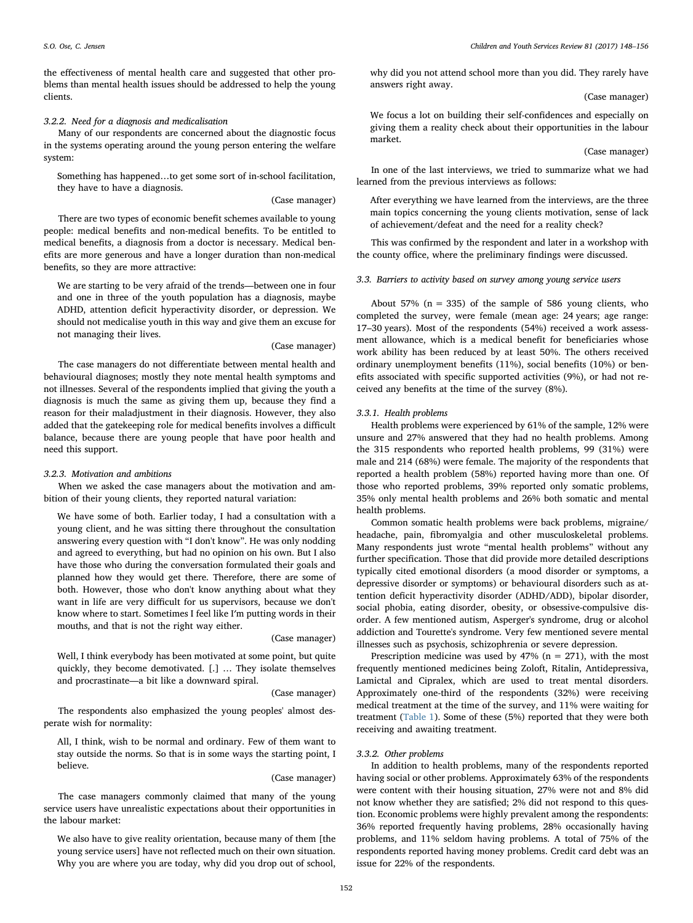the effectiveness of mental health care and suggested that other problems than mental health issues should be addressed to help the young clients.

## 3.2.2. Need for a diagnosis and medicalisation

Many of our respondents are concerned about the diagnostic focus in the systems operating around the young person entering the welfare system:

Something has happened…to get some sort of in-school facilitation, they have to have a diagnosis.

## (Case manager)

There are two types of economic benefit schemes available to young people: medical benefits and non-medical benefits. To be entitled to medical benefits, a diagnosis from a doctor is necessary. Medical benefits are more generous and have a longer duration than non-medical benefits, so they are more attractive:

We are starting to be very afraid of the trends—between one in four and one in three of the youth population has a diagnosis, maybe ADHD, attention deficit hyperactivity disorder, or depression. We should not medicalise youth in this way and give them an excuse for not managing their lives.

#### (Case manager)

The case managers do not differentiate between mental health and behavioural diagnoses; mostly they note mental health symptoms and not illnesses. Several of the respondents implied that giving the youth a diagnosis is much the same as giving them up, because they find a reason for their maladjustment in their diagnosis. However, they also added that the gatekeeping role for medical benefits involves a difficult balance, because there are young people that have poor health and need this support.

#### 3.2.3. Motivation and ambitions

When we asked the case managers about the motivation and ambition of their young clients, they reported natural variation:

We have some of both. Earlier today, I had a consultation with a young client, and he was sitting there throughout the consultation answering every question with "I don't know". He was only nodding and agreed to everything, but had no opinion on his own. But I also have those who during the conversation formulated their goals and planned how they would get there. Therefore, there are some of both. However, those who don't know anything about what they want in life are very difficult for us supervisors, because we don't know where to start. Sometimes I feel like I′m putting words in their mouths, and that is not the right way either.

#### (Case manager)

Well, I think everybody has been motivated at some point, but quite quickly, they become demotivated. [.] … They isolate themselves and procrastinate—a bit like a downward spiral.

#### (Case manager)

The respondents also emphasized the young peoples' almost desperate wish for normality:

All, I think, wish to be normal and ordinary. Few of them want to stay outside the norms. So that is in some ways the starting point, I believe.

#### (Case manager)

The case managers commonly claimed that many of the young service users have unrealistic expectations about their opportunities in the labour market:

We also have to give reality orientation, because many of them [the young service users] have not reflected much on their own situation. Why you are where you are today, why did you drop out of school,

why did you not attend school more than you did. They rarely have answers right away.

(Case manager)

We focus a lot on building their self-confidences and especially on giving them a reality check about their opportunities in the labour market.

(Case manager)

In one of the last interviews, we tried to summarize what we had learned from the previous interviews as follows:

After everything we have learned from the interviews, are the three main topics concerning the young clients motivation, sense of lack of achievement/defeat and the need for a reality check?

This was confirmed by the respondent and later in a workshop with the county office, where the preliminary findings were discussed.

3.3. Barriers to activity based on survey among young service users

About 57% ( $n = 335$ ) of the sample of 586 young clients, who completed the survey, were female (mean age: 24 years; age range: 17–30 years). Most of the respondents (54%) received a work assessment allowance, which is a medical benefit for beneficiaries whose work ability has been reduced by at least 50%. The others received ordinary unemployment benefits (11%), social benefits (10%) or benefits associated with specific supported activities (9%), or had not received any benefits at the time of the survey (8%).

## 3.3.1. Health problems

Health problems were experienced by 61% of the sample, 12% were unsure and 27% answered that they had no health problems. Among the 315 respondents who reported health problems, 99 (31%) were male and 214 (68%) were female. The majority of the respondents that reported a health problem (58%) reported having more than one. Of those who reported problems, 39% reported only somatic problems, 35% only mental health problems and 26% both somatic and mental health problems.

Common somatic health problems were back problems, migraine/ headache, pain, fibromyalgia and other musculoskeletal problems. Many respondents just wrote "mental health problems" without any further specification. Those that did provide more detailed descriptions typically cited emotional disorders (a mood disorder or symptoms, a depressive disorder or symptoms) or behavioural disorders such as attention deficit hyperactivity disorder (ADHD/ADD), bipolar disorder, social phobia, eating disorder, obesity, or obsessive-compulsive disorder. A few mentioned autism, Asperger's syndrome, drug or alcohol addiction and Tourette's syndrome. Very few mentioned severe mental illnesses such as psychosis, schizophrenia or severe depression.

Prescription medicine was used by  $47\%$  (n = 271), with the most frequently mentioned medicines being Zoloft, Ritalin, Antidepressiva, Lamictal and Cipralex, which are used to treat mental disorders. Approximately one-third of the respondents (32%) were receiving medical treatment at the time of the survey, and 11% were waiting for treatment ([Table 1](#page-5-0)). Some of these (5%) reported that they were both receiving and awaiting treatment.

## 3.3.2. Other problems

In addition to health problems, many of the respondents reported having social or other problems. Approximately 63% of the respondents were content with their housing situation, 27% were not and 8% did not know whether they are satisfied; 2% did not respond to this question. Economic problems were highly prevalent among the respondents: 36% reported frequently having problems, 28% occasionally having problems, and 11% seldom having problems. A total of 75% of the respondents reported having money problems. Credit card debt was an issue for 22% of the respondents.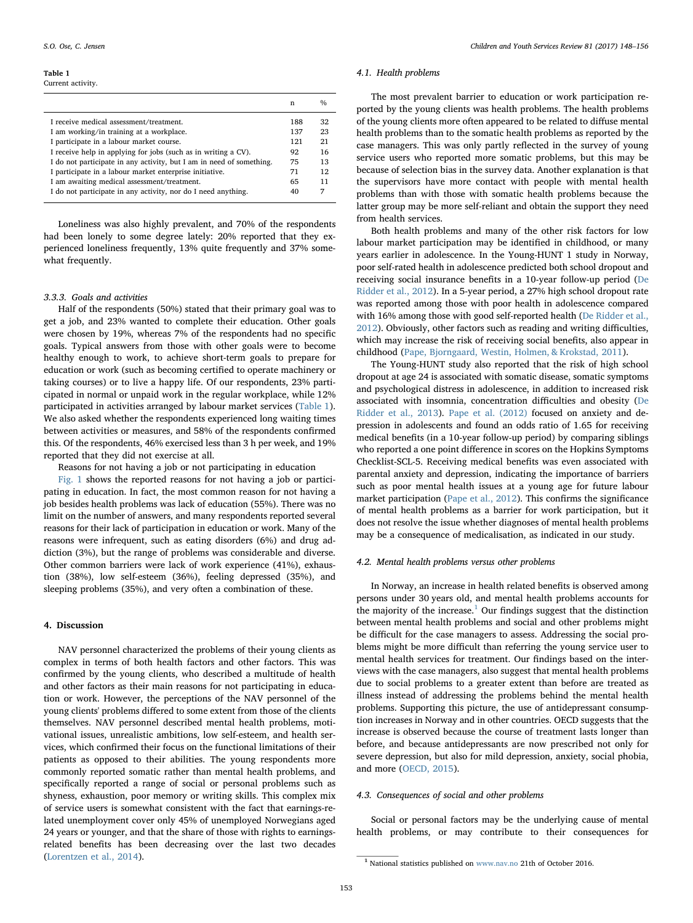#### <span id="page-5-0"></span>Table 1 Current activity.

|                                                                      | n   | $\frac{0}{0}$ |
|----------------------------------------------------------------------|-----|---------------|
| I receive medical assessment/treatment.                              | 188 | 32            |
| I am working/in training at a workplace.                             | 137 | 23            |
| I participate in a labour market course.                             | 121 | 21            |
| I receive help in applying for jobs (such as in writing a CV).       | 92  | 16            |
| I do not participate in any activity, but I am in need of something. | 75  | 13            |
| I participate in a labour market enterprise initiative.              | 71  | 12            |
| I am awaiting medical assessment/treatment.                          | 65  | 11            |
| I do not participate in any activity, nor do I need anything.        | 40  | 7             |

Loneliness was also highly prevalent, and 70% of the respondents had been lonely to some degree lately: 20% reported that they experienced loneliness frequently, 13% quite frequently and 37% somewhat frequently.

## 3.3.3. Goals and activities

Half of the respondents (50%) stated that their primary goal was to get a job, and 23% wanted to complete their education. Other goals were chosen by 19%, whereas 7% of the respondents had no specific goals. Typical answers from those with other goals were to become healthy enough to work, to achieve short-term goals to prepare for education or work (such as becoming certified to operate machinery or taking courses) or to live a happy life. Of our respondents, 23% participated in normal or unpaid work in the regular workplace, while 12% participated in activities arranged by labour market services ([Table 1](#page-5-0)). We also asked whether the respondents experienced long waiting times between activities or measures, and 58% of the respondents confirmed this. Of the respondents, 46% exercised less than 3 h per week, and 19% reported that they did not exercise at all.

Reasons for not having a job or not participating in education

[Fig. 1](#page-6-0) shows the reported reasons for not having a job or participating in education. In fact, the most common reason for not having a job besides health problems was lack of education (55%). There was no limit on the number of answers, and many respondents reported several reasons for their lack of participation in education or work. Many of the reasons were infrequent, such as eating disorders (6%) and drug addiction (3%), but the range of problems was considerable and diverse. Other common barriers were lack of work experience (41%), exhaustion (38%), low self-esteem (36%), feeling depressed (35%), and sleeping problems (35%), and very often a combination of these.

## 4. Discussion

NAV personnel characterized the problems of their young clients as complex in terms of both health factors and other factors. This was confirmed by the young clients, who described a multitude of health and other factors as their main reasons for not participating in education or work. However, the perceptions of the NAV personnel of the young clients' problems differed to some extent from those of the clients themselves. NAV personnel described mental health problems, motivational issues, unrealistic ambitions, low self-esteem, and health services, which confirmed their focus on the functional limitations of their patients as opposed to their abilities. The young respondents more commonly reported somatic rather than mental health problems, and specifically reported a range of social or personal problems such as shyness, exhaustion, poor memory or writing skills. This complex mix of service users is somewhat consistent with the fact that earnings-related unemployment cover only 45% of unemployed Norwegians aged 24 years or younger, and that the share of those with rights to earningsrelated benefits has been decreasing over the last two decades ([Lorentzen et al., 2014\)](#page-8-5).

#### 4.1. Health problems

The most prevalent barrier to education or work participation reported by the young clients was health problems. The health problems of the young clients more often appeared to be related to diffuse mental health problems than to the somatic health problems as reported by the case managers. This was only partly reflected in the survey of young service users who reported more somatic problems, but this may be because of selection bias in the survey data. Another explanation is that the supervisors have more contact with people with mental health problems than with those with somatic health problems because the latter group may be more self-reliant and obtain the support they need from health services.

Both health problems and many of the other risk factors for low labour market participation may be identified in childhood, or many years earlier in adolescence. In the Young-HUNT 1 study in Norway, poor self-rated health in adolescence predicted both school dropout and receiving social insurance benefits in a 10-year follow-up period [\(De](#page-8-13) [Ridder et al., 2012](#page-8-13)). In a 5-year period, a 27% high school dropout rate was reported among those with poor health in adolescence compared with 16% among those with good self-reported health ([De Ridder et al.,](#page-8-13) [2012\)](#page-8-13). Obviously, other factors such as reading and writing difficulties, which may increase the risk of receiving social benefits, also appear in childhood ([Pape, Bjorngaard, Westin, Holmen, & Krokstad, 2011](#page-8-14)).

The Young-HUNT study also reported that the risk of high school dropout at age 24 is associated with somatic disease, somatic symptoms and psychological distress in adolescence, in addition to increased risk associated with insomnia, concentration difficulties and obesity [\(De](#page-8-0) [Ridder et al., 2013\)](#page-8-0). [Pape et al. \(2012\)](#page-8-15) focused on anxiety and depression in adolescents and found an odds ratio of 1.65 for receiving medical benefits (in a 10-year follow-up period) by comparing siblings who reported a one point difference in scores on the Hopkins Symptoms Checklist-SCL-5. Receiving medical benefits was even associated with parental anxiety and depression, indicating the importance of barriers such as poor mental health issues at a young age for future labour market participation ([Pape et al., 2012](#page-8-15)). This confirms the significance of mental health problems as a barrier for work participation, but it does not resolve the issue whether diagnoses of mental health problems may be a consequence of medicalisation, as indicated in our study.

## 4.2. Mental health problems versus other problems

In Norway, an increase in health related benefits is observed among persons under 30 years old, and mental health problems accounts for the majority of the increase. $1$  Our findings suggest that the distinction between mental health problems and social and other problems might be difficult for the case managers to assess. Addressing the social problems might be more difficult than referring the young service user to mental health services for treatment. Our findings based on the interviews with the case managers, also suggest that mental health problems due to social problems to a greater extent than before are treated as illness instead of addressing the problems behind the mental health problems. Supporting this picture, the use of antidepressant consumption increases in Norway and in other countries. OECD suggests that the increase is observed because the course of treatment lasts longer than before, and because antidepressants are now prescribed not only for severe depression, but also for mild depression, anxiety, social phobia, and more [\(OECD, 2015\)](#page-8-16).

#### 4.3. Consequences of social and other problems

Social or personal factors may be the underlying cause of mental health problems, or may contribute to their consequences for

<span id="page-5-1"></span><sup>1</sup> National statistics published on [www.nav.no](http://www.nav.no) 21th of October 2016.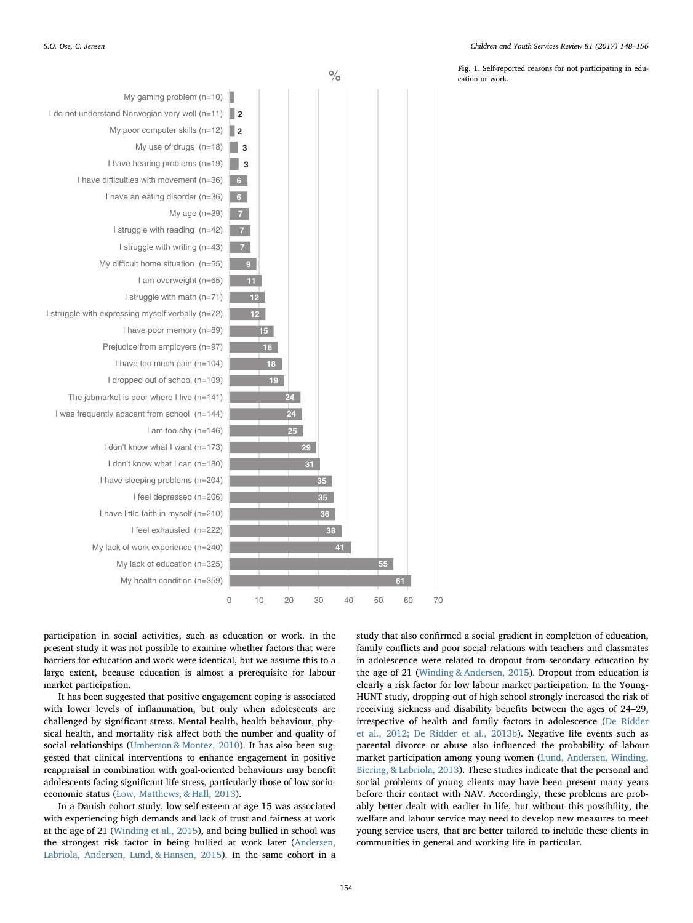$\log$  1. Self-reported reasons for not participating in edu-<br>  $\log$ cation or work.

<span id="page-6-0"></span>

participation in social activities, such as education or work. In the present study it was not possible to examine whether factors that were barriers for education and work were identical, but we assume this to a large extent, because education is almost a prerequisite for labour market participation.

It has been suggested that positive engagement coping is associated with lower levels of inflammation, but only when adolescents are challenged by significant stress. Mental health, health behaviour, physical health, and mortality risk affect both the number and quality of social relationships ([Umberson & Montez, 2010\)](#page-8-17). It has also been suggested that clinical interventions to enhance engagement in positive reappraisal in combination with goal-oriented behaviours may benefit adolescents facing significant life stress, particularly those of low socioeconomic status ([Low, Matthews, & Hall, 2013\)](#page-8-18).

In a Danish cohort study, low self-esteem at age 15 was associated with experiencing high demands and lack of trust and fairness at work at the age of 21 ([Winding et al., 2015](#page-8-19)), and being bullied in school was the strongest risk factor in being bullied at work later [\(Andersen,](#page-8-20) [Labriola, Andersen, Lund, & Hansen, 2015\)](#page-8-20). In the same cohort in a study that also confirmed a social gradient in completion of education, family conflicts and poor social relations with teachers and classmates in adolescence were related to dropout from secondary education by the age of 21 [\(Winding & Andersen, 2015\)](#page-8-21). Dropout from education is clearly a risk factor for low labour market participation. In the Young-HUNT study, dropping out of high school strongly increased the risk of receiving sickness and disability benefits between the ages of 24–29, irrespective of health and family factors in adolescence ([De Ridder](#page-8-13) [et al., 2012; De Ridder et al., 2013b\)](#page-8-13). Negative life events such as parental divorce or abuse also influenced the probability of labour market participation among young women ([Lund, Andersen, Winding,](#page-8-22) [Biering, & Labriola, 2013\)](#page-8-22). These studies indicate that the personal and social problems of young clients may have been present many years before their contact with NAV. Accordingly, these problems are probably better dealt with earlier in life, but without this possibility, the welfare and labour service may need to develop new measures to meet young service users, that are better tailored to include these clients in communities in general and working life in particular.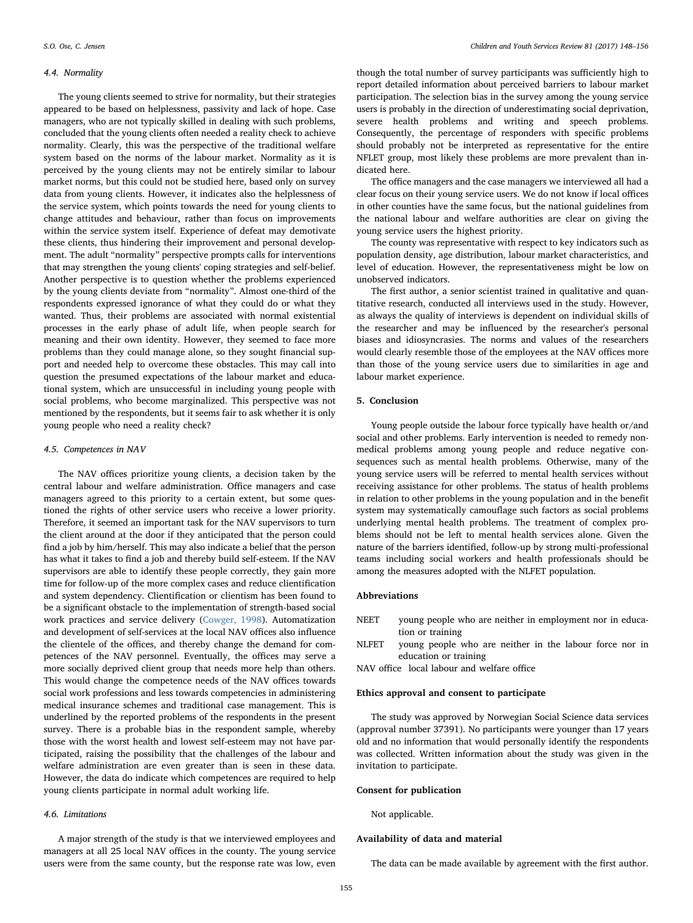## 4.4. Normality

The young clients seemed to strive for normality, but their strategies appeared to be based on helplessness, passivity and lack of hope. Case managers, who are not typically skilled in dealing with such problems, concluded that the young clients often needed a reality check to achieve normality. Clearly, this was the perspective of the traditional welfare system based on the norms of the labour market. Normality as it is perceived by the young clients may not be entirely similar to labour market norms, but this could not be studied here, based only on survey data from young clients. However, it indicates also the helplessness of the service system, which points towards the need for young clients to change attitudes and behaviour, rather than focus on improvements within the service system itself. Experience of defeat may demotivate these clients, thus hindering their improvement and personal development. The adult "normality" perspective prompts calls for interventions that may strengthen the young clients' coping strategies and self-belief. Another perspective is to question whether the problems experienced by the young clients deviate from "normality". Almost one-third of the respondents expressed ignorance of what they could do or what they wanted. Thus, their problems are associated with normal existential processes in the early phase of adult life, when people search for meaning and their own identity. However, they seemed to face more problems than they could manage alone, so they sought financial support and needed help to overcome these obstacles. This may call into question the presumed expectations of the labour market and educational system, which are unsuccessful in including young people with social problems, who become marginalized. This perspective was not mentioned by the respondents, but it seems fair to ask whether it is only young people who need a reality check?

#### 4.5. Competences in NAV

The NAV offices prioritize young clients, a decision taken by the central labour and welfare administration. Office managers and case managers agreed to this priority to a certain extent, but some questioned the rights of other service users who receive a lower priority. Therefore, it seemed an important task for the NAV supervisors to turn the client around at the door if they anticipated that the person could find a job by him/herself. This may also indicate a belief that the person has what it takes to find a job and thereby build self-esteem. If the NAV supervisors are able to identify these people correctly, they gain more time for follow-up of the more complex cases and reduce clientification and system dependency. Clientification or clientism has been found to be a significant obstacle to the implementation of strength-based social work practices and service delivery [\(Cowger, 1998](#page-8-23)). Automatization and development of self-services at the local NAV offices also influence the clientele of the offices, and thereby change the demand for competences of the NAV personnel. Eventually, the offices may serve a more socially deprived client group that needs more help than others. This would change the competence needs of the NAV offices towards social work professions and less towards competencies in administering medical insurance schemes and traditional case management. This is underlined by the reported problems of the respondents in the present survey. There is a probable bias in the respondent sample, whereby those with the worst health and lowest self-esteem may not have participated, raising the possibility that the challenges of the labour and welfare administration are even greater than is seen in these data. However, the data do indicate which competences are required to help young clients participate in normal adult working life.

## 4.6. Limitations

A major strength of the study is that we interviewed employees and managers at all 25 local NAV offices in the county. The young service users were from the same county, but the response rate was low, even

though the total number of survey participants was sufficiently high to report detailed information about perceived barriers to labour market participation. The selection bias in the survey among the young service users is probably in the direction of underestimating social deprivation, severe health problems and writing and speech problems. Consequently, the percentage of responders with specific problems should probably not be interpreted as representative for the entire NFLET group, most likely these problems are more prevalent than indicated here.

The office managers and the case managers we interviewed all had a clear focus on their young service users. We do not know if local offices in other counties have the same focus, but the national guidelines from the national labour and welfare authorities are clear on giving the young service users the highest priority.

The county was representative with respect to key indicators such as population density, age distribution, labour market characteristics, and level of education. However, the representativeness might be low on unobserved indicators.

The first author, a senior scientist trained in qualitative and quantitative research, conducted all interviews used in the study. However, as always the quality of interviews is dependent on individual skills of the researcher and may be influenced by the researcher's personal biases and idiosyncrasies. The norms and values of the researchers would clearly resemble those of the employees at the NAV offices more than those of the young service users due to similarities in age and labour market experience.

## 5. Conclusion

Young people outside the labour force typically have health or/and social and other problems. Early intervention is needed to remedy nonmedical problems among young people and reduce negative consequences such as mental health problems. Otherwise, many of the young service users will be referred to mental health services without receiving assistance for other problems. The status of health problems in relation to other problems in the young population and in the benefit system may systematically camouflage such factors as social problems underlying mental health problems. The treatment of complex problems should not be left to mental health services alone. Given the nature of the barriers identified, follow-up by strong multi-professional teams including social workers and health professionals should be among the measures adopted with the NLFET population.

## Abbreviations

- NEET young people who are neither in employment nor in education or training
- NLFET young people who are neither in the labour force nor in education or training

NAV office local labour and welfare office

## Ethics approval and consent to participate

The study was approved by Norwegian Social Science data services (approval number 37391). No participants were younger than 17 years old and no information that would personally identify the respondents was collected. Written information about the study was given in the invitation to participate.

## Consent for publication

Not applicable.

## Availability of data and material

The data can be made available by agreement with the first author.